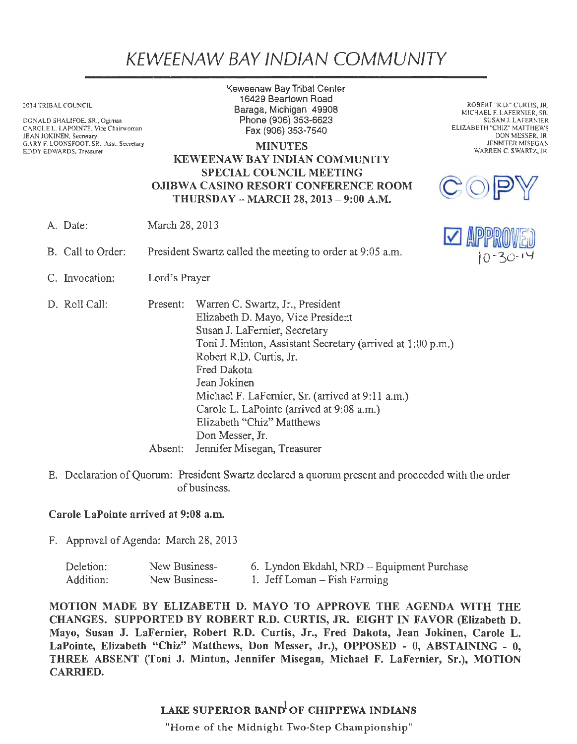## KEWEENAW BAY IND/AN COMMUNITY

2014 TRIBAL COUNCIL

DONALD SHALIFOE. SR., Ogimaa CAROLE L. LAPOINTE, Vice Chairwoman JEAN JOKINEN, Secretary GARY F. LOONSFOOT, SR., *Ass1.* Secretary EDDY EDWARDS, Treasurer

Keweenaw Bay Tribal Center 16429 Beartown Road Baraga, Michigan 49908 Phone(906)353-6623 Fax (906) 353-7540

MINUTES KEWEENAW BAY INDIAN COMMUNITY SPECIAL COUNCIL MEETING OJIBWA CASINO RESORT CONFERENCE ROOM THURSDAY - MARCH 28, 2013 - 9:00 A.M.

A. Date: March 28, 2013

- B. Call to Order: President Swartz called the meeting to order at 9:05 a.m.
- C. Invocation: Lord's Prayer

D. Roll Call: Present: Warren C. Swartz, Jr., President Elizabeth D. Mayo, Vice President Susan J. LaFernier, Secretary Toni J. Minton, Assistant Secretary (arrived at 1 :00 p.m.) Robert R.D. Curtis, Jr. Fred Dakota Jean Jokinen Michael F. LaFernier, Sr. (arrived at 9:11 a.m.) Carole L. LaPointe (arrived at 9:08 a.m.) Elizabeth "Chiz" Matthews Don Messer, Jr. Absent: Jennifer Misegan, Treasurer

E. Declaration of Quorum: President Swartz declared a quorum present and proceeded with the order of business.

## Carole LaPointe arrived at 9:08 a.m.

F. Approval of Agenda: March 28, 2013

| Deletion: | New Business- | 6. Lyndon Ekdahl, NRD – Equipment Purchase |
|-----------|---------------|--------------------------------------------|
| Addition: | New Business- | 1. Jeff Loman – Fish Farming               |

MOTION MADE BY ELIZABETH D. MAYO TO APPROVE THE AGENDA WITH THE CHANGES. SUPPORTED BY ROBERT R.D. CURTIS, JR. EIGHT IN FAVOR (Elizabeth D. Mayo, Susan J. LaFernier, Robert R.D. Curtis, Jr., Fred Dakota, Jean Jokinen, Carole L. LaPointe, Elizabeth "Chiz" Matthews, Don Messer, Jr.), OPPOSED - 0, ABSTAINING - O, THREE ABSENT (Toni J. Minton, Jennifer Misegan, Michael F. LaFernier, Sr.), MOTION CARRIED.

## LAKE SUPERIOR BAND OF CHIPPEWA INDIANS

"Home of the Midnight Two-Step Championship"

ROBERT "R.D." CURTIS, JR. MICHAEL F. LAFERNIER, SR. SUSAN J. LAFERNIER ELIZABETH "CHIZ" MATTHEWS DON MESSER, JR. JENNIFER MISEGAN WARREN C. SWARTZ, JR.



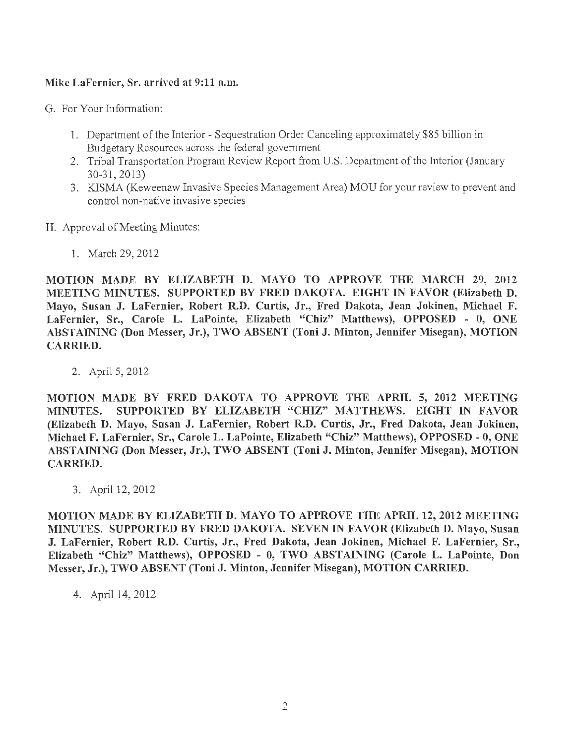## Mike LaFernier, Sr. arrived at 9:11 a.m.

G. For Your Information:

- 1. Department of the Interior Sequestration Order Canceling approximately \$85 billion in Budgetary Resources across the federal government
- 2. Tribal Transportation Program Review Report from U.S. Department of the Interior (January 30-31, 2013)
- 3. KISMA (Keweenaw Invasive Species Management Area) MOU for your review to prevent and control non-native invasive species
- H. Approval of Meeting Minutes:
	- 1. March 29, 2012

MOTION MADE BY ELIZABETH D. MAYO TO APPROVE THE MARCH 29, 2012 MEETING MINUTES. SUPPORTED BY FRED DAKOTA. EIGHT IN FAVOR (Elizabeth D. Mayo, Susan J. LaFernier, Robert R.D. Curtis, Jr., Fred Dakota, Jean Jokinen, Michael F. LaFernier, Sr., Carole L. LaPointe, Elizabeth "Chiz" Matthews), OPPOSED - O, ONE ABSTAINING (Don Messer, Jr.), TWO ABSENT (Toni J. Minton, Jennifer Misegan), MOTION CARRIED.

2. April 5, 2012

MOTION MADE BY FRED DAKOTA TO APPROVE THE APRIL 5, 2012 MEETING MINUTES. SUPPORTED BY ELIZABETH "CHIZ" MATTHEWS. EIGHT IN FAVOR (Elizabeth D. Mayo, Susan J. LaFernier, Robert R.D. Curtis, Jr., Fred Dakota, Jean Jokinen, Michael F. LaFernier, Sr., Carole L. LaPointe, Elizabeth "Chiz" Matthews), OPPOSED - 0, ONE ABSTAINING (Don Messer, Jr.), TWO ABSENT (Toni J. Minton, Jennifer Misegan), MOTION CARRIED.

3. April 12, 2012

MOTION MADE BY ELIZABETH D. MAYO TO APPROVE THE APRIL 12, 2012 MEETING MINUTES. SUPPORTED BY FRED DAKOTA. SEVEN IN FAVOR (Elizabeth D. Mayo, Susan J. LaFernier, Robert R.D. Curtis, Jr., Fred Dakota, Jean Jokinen, Michael F. LaFernier, Sr., Elizabeth "Chiz" Matthews), OPPOSED - O, TWO ABSTAINING (Carole L. LaPointe, Don Messer, Jr.), TWO ABSENT (Toni J. Minton, Jennifer Misegan), MOTION CARRIED.

4. April 14, 2012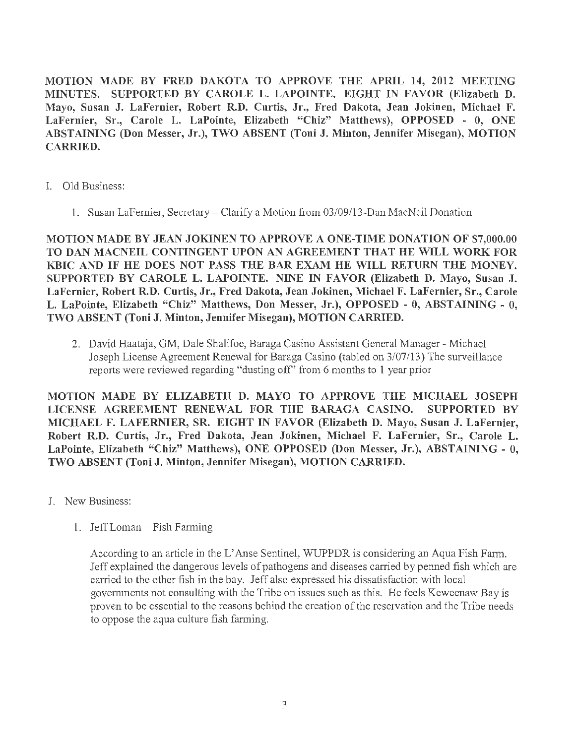MOTION MADE BY FRED DAKOTA TO APPROVE THE APRIL 14, 2012 MEETING MINUTES. SUPPORTED BY CAROLE L. LAPOINTE. EIGHT IN FAVOR (Elizabeth D. Mayo, Susan J. LaFernier, Robert R.D. Curtis, Jr., Fred Dakota, Jean Jokinen, Michael F. LaFernier, Sr., Carole L. LaPointe, Elizabeth "Chiz" Matthews), OPPOSED - O, ONE ABSTAINING (Don Messer, Jr.), TWO ABSENT (Toni J. Minton, Jennifer Misegan), MOTION CARRIED.

- I. Old Business:
	- 1. Susan LaFemier, Secretary Clarify a Motion from 03/09/13-Dan MacNeil Donation

MOTION MADE BY JEAN JOKINEN TO APPROVE A ONE-TIME DONATION OF \$7,000.00 TO DAN MACNEIL CONTINGENT UPON AN AGREEMENT THAT HE WILL WORK FOR KBIC AND IF HE DOES NOT PASS THE BAR EXAM HE WILL RETURN THE MONEY. SUPPORTED BY CAROLE L. LAPOINTE. NINE IN FAVOR (Elizabeth D. Mayo, Susan J. LaFernier, Robert R.D. Curtis, Jr., Fred Dakota, Jean Jokinen, Michael F. LaFernier, Sr., Carole L. LaPointe, Elizabeth "Chiz" Matthews, Don Messer, Jr.), OPPOSED - O, ABSTAINING - 0, TWO ABSENT (Toni J. Minton, Jennifer Misegan), MOTION CARRIED.

2. David Haataja, GM, Dale Shalifoe, Baraga Casino Assistant General Manager - Michael Joseph License Agreement Renewal for Baraga Casino (tabled on 3/07/13) The surveillance reports were reviewed regarding "dusting off' from 6 months to 1 year prior

MOTION MADE BY ELIZABETH D. MAYO TO APPROVE THE MICHAEL JOSEPH LICENSE AGREEMENT RENEWAL FOR THE BARAGA CASINO. SUPPORTED BY MICHAEL F. LAFERNIER, SR. EIGHT IN FAVOR (Elizabeth D. Mayo, Susan J. LaFernier, Robert R.D. Curtis, Jr., Fred Dakota, Jean Jokinen, Michael F. LaFernier, Sr., Carole L. LaPointe, Elizabeth "Chiz" Matthews), ONE OPPOSED (Don Messer, Jr.), ABSTAINING - 0, TWO ABSENT (Toni J. Minton, Jennifer Misegan), MOTION CARRIED.

- J. New Business:
	- 1. Jeff Loman Fish Farming

According to an article in the L'Anse Sentinel, WUPPDR is considering an Aqua Fish Farm. Jeff explained the dangerous levels of pathogens and diseases carried by penned fish which are carried to the other fish in the bay. Jeff also expressed his dissatisfaction with local governments not consulting with the Tribe on issues such as this. He feels Keweenaw Bay is proven to be essential to the reasons behind the creation of the reservation and the Tribe needs to oppose the aqua culture fish farming.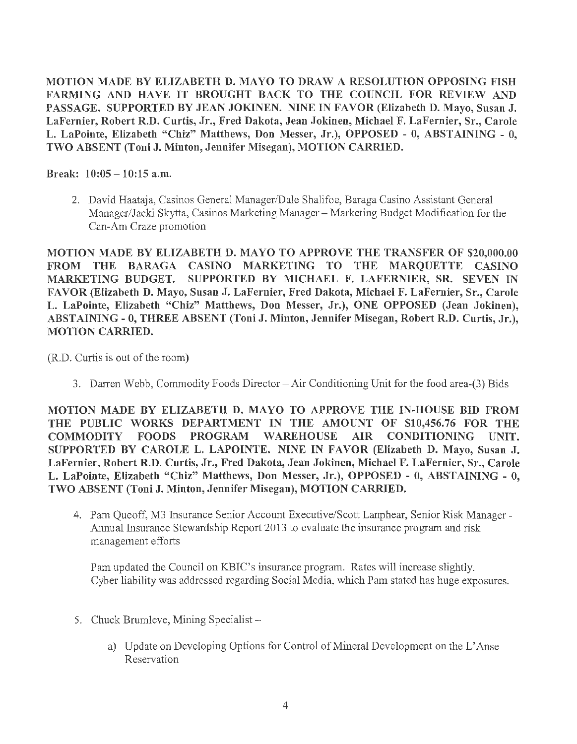MOTION MADE BY ELIZABETH D. MAYO TO DRAW A RESOLUTION OPPOSING FISH FARMING AND HAVE IT BROUGHT BACK TO THE COUNCIL FOR REVIEW AND PASSAGE. SUPPORTED BY JEAN JOKINEN. NINE IN FAVOR (Elizabeth D. Mayo, Susan J. LaFernier, Robert R.D. Curtis, Jr., Fred Dakota, Jean Jokinen, Michael F. LaFernier, Sr., Carole L. LaPointe, Elizabeth "Chiz" Matthews, Don Messer, Jr.), OPPOSED - O, ABSTAINING - O, TWO ABSENT (Toni J. Minton, Jennifer Misegan), MOTION CARRIED.

Break:  $10:05 - 10:15$  a.m.

2. David Haataja, Casinos General Manager/Dale Shalifoe, Baraga Casino Assistant General Manager/Jacki Skytta, Casinos Marketing Manager - Marketing Budget Modification for the Can-Am Craze promotion

MOTION MADE BY ELIZABETH D. MAYO TO APPROVE THE TRANSFER OF \$20,000.00 FROM THE BARAGA CASINO MARKETING TO THE MARQUETTE CASINO MARKETING BUDGET. SUPPORTED BY MICHAEL F. LAFERNIER, SR. SEVEN IN FAVOR (Elizabeth D. Mayo, Susan J. LaFernier, Fred Dakota, Michael F. LaFernier, Sr., Carole L. LaPointe, Elizabeth "Chiz" Matthews, Don Messer, Jr.), ONE OPPOSED (Jean Jokinen), ABSTAINING - 0, THREE ABSENT (Toni J. Minton, Jennifer Misegan, Robert R.D. Curtis, Jr.), MOTION CARRIED.

(R.D. Curtis is out of the room)

3. Darren Webb, Commodity Foods Director-Air Conditioning Unit for the food area-(3) Bids

MOTION MADE BY ELIZABETH D. MAYO TO APPROVE THE IN-HOUSE BID FROM THE PUBLIC WORKS DEPARTMENT IN THE AMOUNT OF \$10,456.76 FOR THE COMMODITY FOODS PROGRAM WAREHOUSE AIR CONDITIONING UNIT. SUPPORTED BY CAROLE L. LAPOINTE. NINE IN FAVOR (Elizabeth D. Mayo, Susan J. LaFernier, Robert R.D. Curtis, Jr., Fred Dakota, Jean Jokinen, Michael F. LaFernier, Sr., Carole L. LaPointe, Elizabeth "Chiz" Matthews, Don Messer, Jr.), OPPOSED - 0, ABSTAINING - O, TWO ABSENT (Toni J. Minton, Jennifer Misegan), MOTION CARRIED.

4. Pam Queoff, M3 Insurance Senior Account Executive/Scott Lanphear, Senior Risk Manager - Annual Insurance Stewardship Report 2013 to evaluate the insurance program and risk management efforts

Pam updated the Council on KBIC's insurance program. Rates will increase slightly. Cyber liability was addressed regarding Social Media, which Pam stated has huge exposures.

- 5. Chuck Brumleve, Mining Specialist
	- a) Update on Developing Options for Control of Mineral Development on the L'Anse Reservation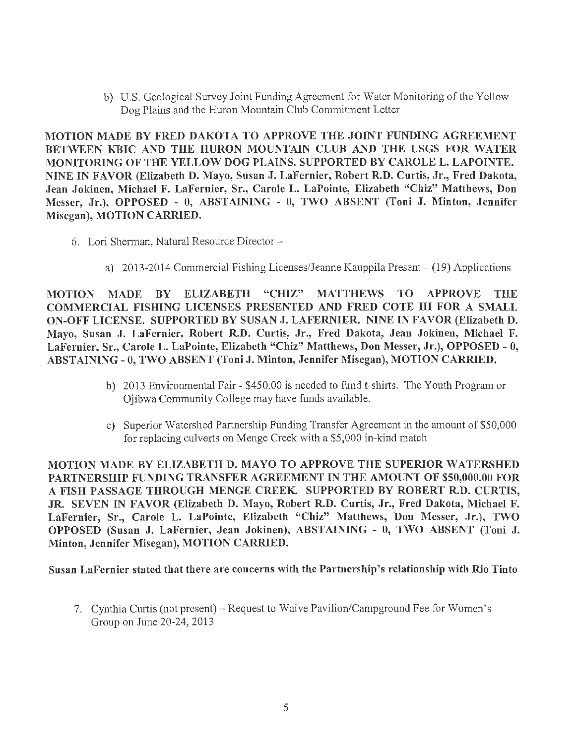b) U.S. Geological Survey Joint Funding Agreement for Water Monitoring of the Yellow Dog Plains and the Huron Mountain Club Commitment Letter

MOTION MADE BY FRED DAKOTA TO APPROVE THE JOINT FUNDING AGREEMENT BETWEEN KBIC AND THE HURON MOUNTAIN CLUB AND THE USGS FOR WATER MONITORING OF THE YELLOW DOG PLAINS. SUPPORTED BY CAROLE L. LAPOINTE. NINE IN FAVOR (Elizabeth D. Mayo, Susan J. LaFernier, Robert R.D. Curtis, Jr., Fred Dakota, Jean Jokinen, Michael F. LaFernier, Sr., Carole L. LaPointe, Elizabeth "Chiz" Matthews, Don Messer, Jr.), OPPOSED - 0, ABSTAINING - O, TWO ABSENT (Toni J. Minton, Jennifer Misegan), MOTION CARRIED.

- 6. Lori Sherman, Natural Resource Director
	- a) 2013-2014 Commercial Fishing Licenses/Jeanne Kauppila Present (19) Applications

MOTION MADE BY ELIZABETH "CHIZ" MATTHEWS TO APPROVE THE COMMERCIAL FISHING LICENSES PRESENTED AND FRED COTE III FOR A SMALL ON-OFF LICENSE. SUPPORTED BY SUSAN J. LAFERNIER. NINE IN FAVOR (Elizabeth D. Mayo, Susan J. LaFernier, Robert R.D. Curtis, Jr., Fred Dakota, Jean Jokinen, Michael F. LaFernier, Sr., Carole L. LaPointe, Elizabeth "Chiz" Matthews, Don Messer, Jr.), OPPOSED - 0, ABSTAINING - O, TWO ABSENT (Toni J. Minton, Jennifer Misegan), MOTION CARRIED.

- b) 2013 Environmental Fair- \$450.00 is needed to fund t-shirts. The Youth Program or Ojibwa Community College may have funds available.
- c) Superior Watershed Partnership Funding Transfer Agreement in the amount of \$50,000 for replacing culverts on Menge Creek with a \$5,000 in-kind match

MOTION MADE BY ELIZABETH D. MAYO TO APPROVE THE SUPERIOR WATERSHED PARTNERSHIP FUNDING TRANSFER AGREEMENT IN THE AMOUNT OF \$50,000.00 FOR A FISH PASSAGE THROUGH MENGE CREEK. SUPPORTED BY ROBERT R.D. CURTIS, JR. SEVEN IN FAVOR (Elizabeth D. Mayo, Robert R.D. Curtis, Jr., Fred Dakota, Michael F. LaFernier, Sr., Carole L. LaPointe, Elizabeth "Chiz" Matthews, Don Messer, Jr.), TWO OPPOSED (Susan J. LaFernier, Jean Jokinen), ABSTAINING - O, TWO ABSENT (Toni J. Minton, Jennifer Misegan), MOTION CARRIED.

Susan LaFernier stated that there are concerns with the Partnership's relationship with Rio Tinto

7. Cynthia Curtis (not present) - Request to Waive Pavilion/Campground Fee for Women's Group on June 20-24, 2013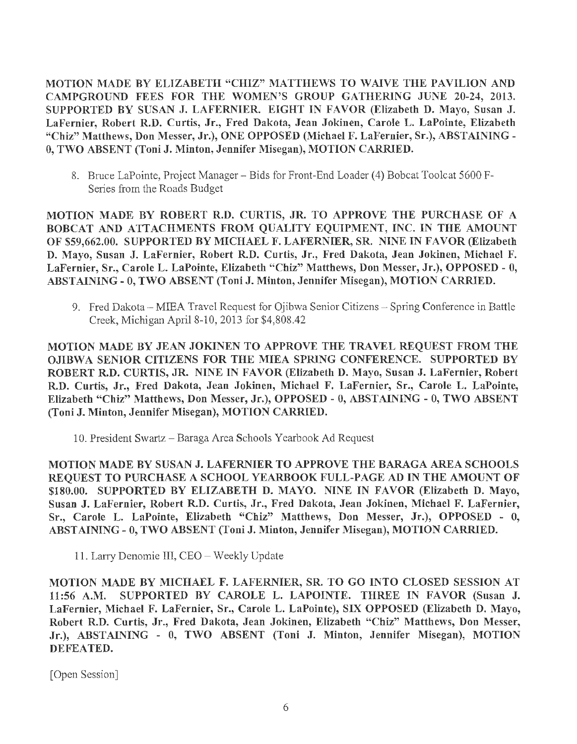MOTION MADE BY ELIZABETH "CHIZ" MATTHEWS TO WAIVE THE PAVILION AND CAMPGROUND FEES FOR THE WOMEN'S GROUP GATHERING JUNE 20-24, 2013. SUPPORTED BY SUSAN J. LAFERNIER. EIGHT IN FAVOR (Elizabeth D. Mayo, Susan J. LaFernier, Robert R.D. Curtis, Jr., Fred Dakota, Jean Jokinen, Carole L. LaPointe, Elizabeth "Chiz" Matthews, Don Messer, Jr.), ONE OPPOSED (Michael F. LaFernier, Sr.), ABSTAINING - O, TWO ABSENT (Toni J. Minton, Jennifer Misegan), MOTION CARRIED.

8. Bruce LaPointe, Project Manager - Bids for Front-End Loader (4) Bobcat Toolcat 5600 F-Series from the Roads Budget

MOTION MADE BY ROBERT R.D. CURTIS, JR. TO APPROVE THE PURCHASE OF A BOBCAT AND ATTACHMENTS FROM QUALITY EQUIPMENT, INC. IN THE AMOUNT OF \$59,662.00. SUPPORTED BY MICHAEL F. LAFERNIER, SR. NINE IN FAVOR (Elizabeth D. Mayo, Susan J. LaFernier, Robert R.D. Curtis, Jr., Fred Dakota, Jean Jokinen, Michael F. LaFernier, Sr., Carole L. LaPointe, Elizabeth "Chiz" Matthews, Don Messer, Jr.), OPPOSED - O, ABSTAINING - O, TWO ABSENT (Toni J. Minton, Jennifer Misegan), MOTION CARRIED.

9. Fred Dakota - MIEA Travel Request for Ojibwa Senior Citizens - Spring Conference in Battle Creek, Michigan April 8-10, 2013 for \$4,808.42

MOTION MADE BY JEAN JOKINEN TO APPROVE THE TRAVEL REQUEST FROM THE OJIBWA SENIOR CITIZENS FOR THE MIEA SPRING CONFERENCE. SUPPORTED BY ROBERT R.D. CURTIS, JR. NINE IN FAVOR (Elizabeth D. Mayo, Susan J. LaFernier, Robert R.D. Curtis, Jr., Fred Dakota, Jean Jokinen, Michael F. LaFernier, Sr., Carole L. LaPointe, Elizabeth "Chiz" Matthews, Don Messer, Jr.), OPPOSED - O, ABSTAINING - O, TWO ABSENT (Toni J. Minton, Jennifer Misegan), MOTION CARRIED.

10. President Swartz - Baraga Area Schools Yearbook Ad Request

MOTION MADE BY SUSAN J. LAFERNIER TO APPROVE THE BARAGA AREA SCHOOLS REQUEST TO PURCHASE A SCHOOL YEARBOOK FULL-PAGE AD IN THE AMOUNT OF \$180.00. SUPPORTED BY ELIZABETH D. MAYO. NINE IN FAVOR (Elizabeth D. Mayo, Susan J. LaFernier, Robert R.D. Curtis, Jr., Fred Dakota, Jean Jokinen, Michael F. LaFernier, Sr., Carole L. LaPointe, Elizabeth "Chiz" Matthews, Don Messer, Jr.), OPPOSED - O, ABSTAINING- 0, TWO ABSENT (Toni J. Minton, Jennifer Misegan), MOTION CARRIED.

11. Larry Denomie III, CEO - Weekly Update

MOTION MADE BY MICHAEL F. LAFERNIER, SR. TO GO INTO CLOSED SESSION AT 11 :56 A.M. SUPPORTED BY CAROLE L. LAPOINTE. THREE IN FAVOR (Susan J. LaFernier, Michael F. LaFernier, Sr., Carole L. LaPointe), SIX OPPOSED (Elizabeth D. Mayo, Robert R.D. Curtis, Jr., Fred Dakota, Jean Jokinen, Elizabeth "Chiz" Matthews, Don Messer, Jr.), ABSTAINING - 0, TWO ABSENT (Toni J. Minton, Jennifer Misegan), MOTION DEFEATED.

[Open Session]